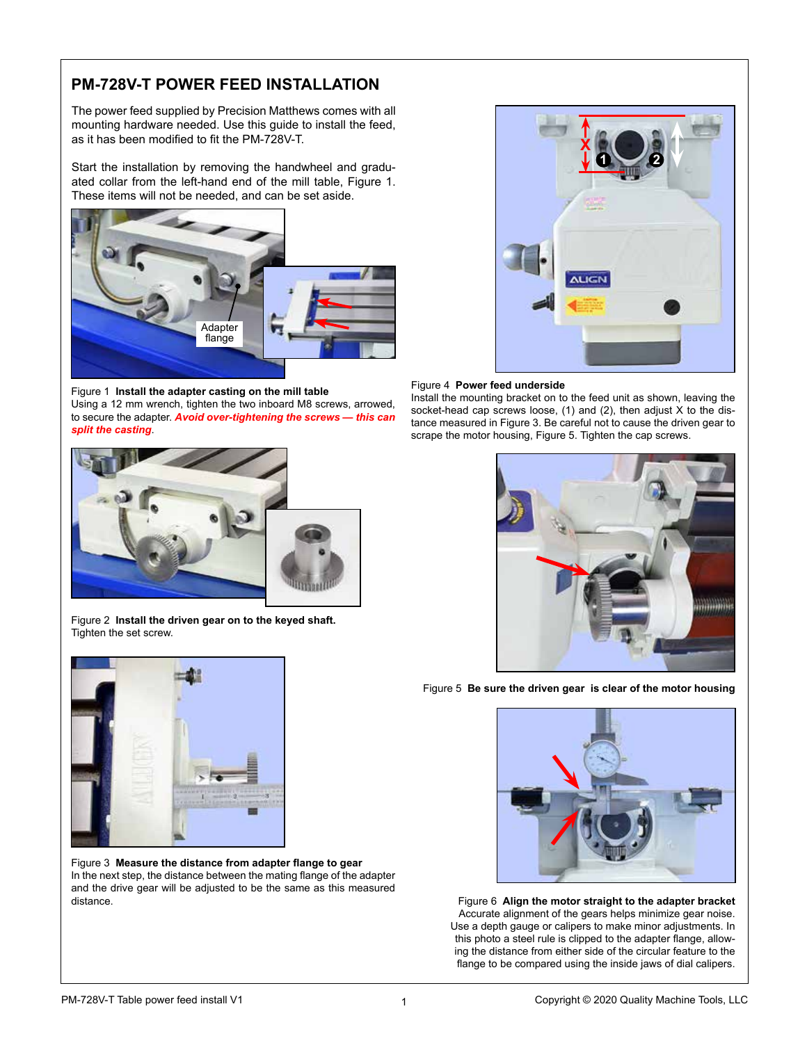## **PM-728V-T POWER FEED INSTALLATION**

The power feed supplied by Precision Matthews comes with all mounting hardware needed. Use this guide to install the feed, as it has been modified to fit the PM-728V-T.

Start the installation by removing the handwheel and graduated collar from the left-hand end of the mill table, Figure 1. These items will not be needed, and can be set aside.



Figure 1 **Install the adapter casting on the mill table**  Using a 12 mm wrench, tighten the two inboard M8 screws, arrowed, to secure the adapter. *Avoid over-tightening the screws — this can split the casting*.



Figure 2 **Install the driven gear on to the keyed shaft.** Tighten the set screw.



Figure 3 **Measure the distance from adapter flange to gear** In the next step, the distance between the mating flange of the adapter and the drive gear will be adjusted to be the same as this measured distance.



## Figure 4 **Power feed underside**

Install the mounting bracket on to the feed unit as shown, leaving the socket-head cap screws loose, (1) and (2), then adjust X to the distance measured in Figure 3. Be careful not to cause the driven gear to scrape the motor housing, Figure 5. Tighten the cap screws.



Figure 5 **Be sure the driven gear is clear of the motor housing** 



Figure 6 **Align the motor straight to the adapter bracket** Accurate alignment of the gears helps minimize gear noise. Use a depth gauge or calipers to make minor adjustments. In this photo a steel rule is clipped to the adapter flange, allowing the distance from either side of the circular feature to the flange to be compared using the inside jaws of dial calipers.